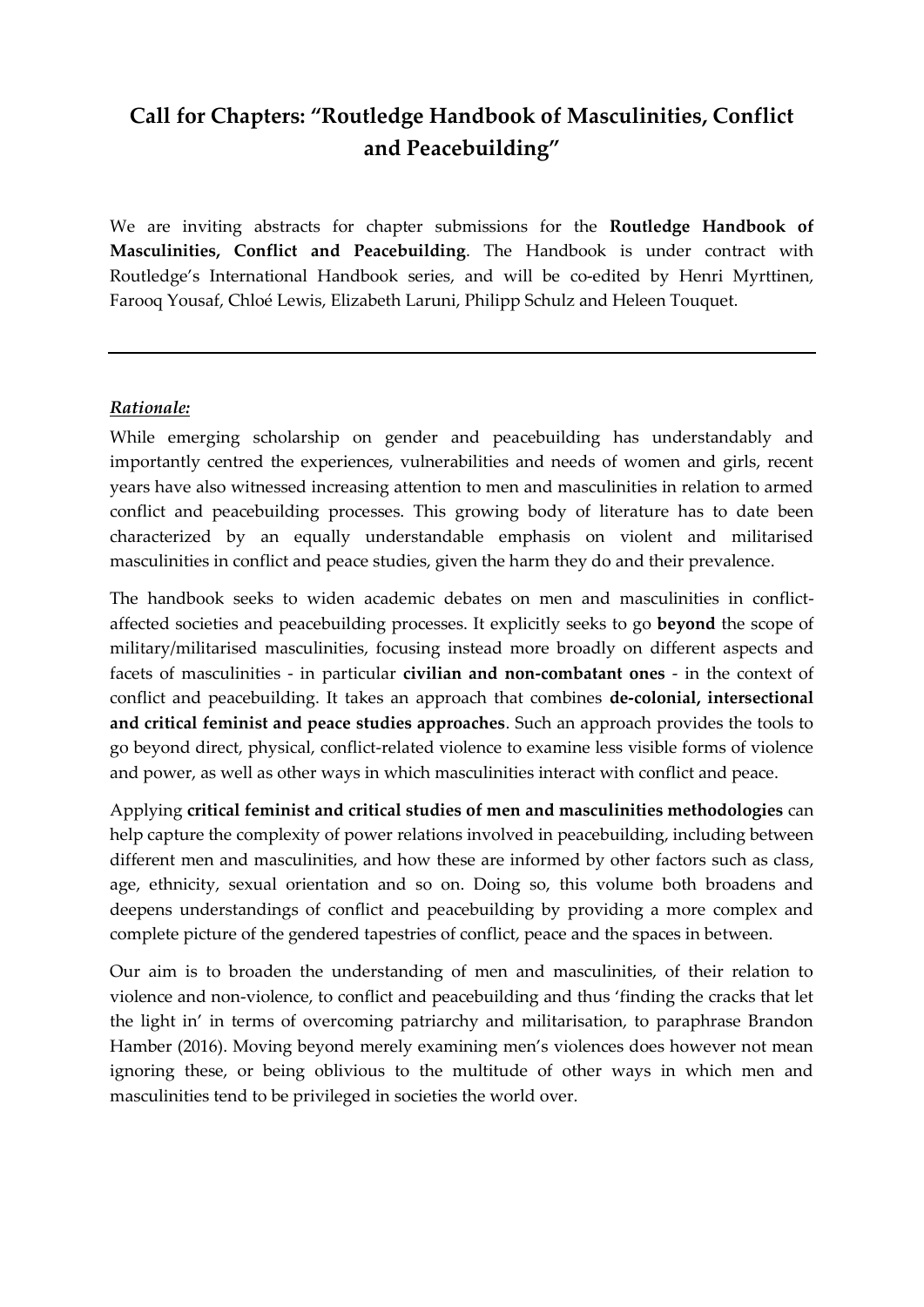## **Call for Chapters: "Routledge Handbook of Masculinities, Conflict and Peacebuilding"**

We are inviting abstracts for chapter submissions for the **Routledge Handbook of Masculinities, Conflict and Peacebuilding**. The Handbook is under contract with Routledge's International Handbook series, and will be co-edited by Henri Myrttinen, Farooq Yousaf, Chloé Lewis, Elizabeth Laruni, Philipp Schulz and Heleen Touquet.

## *Rationale:*

While emerging scholarship on gender and peacebuilding has understandably and importantly centred the experiences, vulnerabilities and needs of women and girls, recent years have also witnessed increasing attention to men and masculinities in relation to armed conflict and peacebuilding processes. This growing body of literature has to date been characterized by an equally understandable emphasis on violent and militarised masculinities in conflict and peace studies, given the harm they do and their prevalence.

The handbook seeks to widen academic debates on men and masculinities in conflictaffected societies and peacebuilding processes. It explicitly seeks to go **beyond** the scope of military/militarised masculinities, focusing instead more broadly on different aspects and facets of masculinities - in particular **civilian and non-combatant ones** - in the context of conflict and peacebuilding. It takes an approach that combines **de-colonial, intersectional and critical feminist and peace studies approaches**. Such an approach provides the tools to go beyond direct, physical, conflict-related violence to examine less visible forms of violence and power, as well as other ways in which masculinities interact with conflict and peace.

Applying **critical feminist and critical studies of men and masculinities methodologies** can help capture the complexity of power relations involved in peacebuilding, including between different men and masculinities, and how these are informed by other factors such as class, age, ethnicity, sexual orientation and so on. Doing so, this volume both broadens and deepens understandings of conflict and peacebuilding by providing a more complex and complete picture of the gendered tapestries of conflict, peace and the spaces in between.

Our aim is to broaden the understanding of men and masculinities, of their relation to violence and non-violence, to conflict and peacebuilding and thus 'finding the cracks that let the light in' in terms of overcoming patriarchy and militarisation, to paraphrase Brandon Hamber (2016). Moving beyond merely examining men's violences does however not mean ignoring these, or being oblivious to the multitude of other ways in which men and masculinities tend to be privileged in societies the world over.